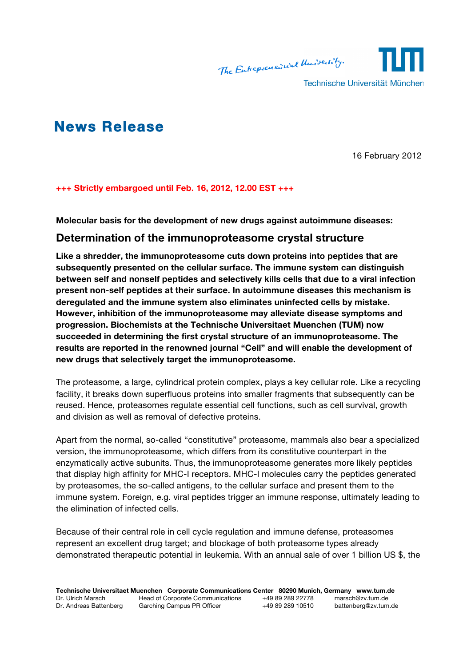

# **News Release**

16 February 2012

**+++ Strictly embargoed until Feb. 16, 2012, 12.00 EST +++**

**Molecular basis for the development of new drugs against autoimmune diseases:**

## **Determination of the immunoproteasome crystal structure**

**Like a shredder, the immunoproteasome cuts down proteins into peptides that are subsequently presented on the cellular surface. The immune system can distinguish between self and nonself peptides and selectively kills cells that due to a viral infection present non-self peptides at their surface. In autoimmune diseases this mechanism is deregulated and the immune system also eliminates uninfected cells by mistake. However, inhibition of the immunoproteasome may alleviate disease symptoms and progression. Biochemists at the Technische Universitaet Muenchen (TUM) now succeeded in determining the first crystal structure of an immunoproteasome. The results are reported in the renowned journal "Cell" and will enable the development of new drugs that selectively target the immunoproteasome.**

The proteasome, a large, cylindrical protein complex, plays a key cellular role. Like a recycling facility, it breaks down superfluous proteins into smaller fragments that subsequently can be reused. Hence, proteasomes regulate essential cell functions, such as cell survival, growth and division as well as removal of defective proteins.

Apart from the normal, so-called "constitutive" proteasome, mammals also bear a specialized version, the immunoproteasome, which differs from its constitutive counterpart in the enzymatically active subunits. Thus, the immunoproteasome generates more likely peptides that display high affinity for MHC-I receptors. MHC-I molecules carry the peptides generated by proteasomes, the so-called antigens, to the cellular surface and present them to the immune system. Foreign, e.g. viral peptides trigger an immune response, ultimately leading to the elimination of infected cells.

Because of their central role in cell cycle regulation and immune defense, proteasomes represent an excellent drug target; and blockage of both proteasome types already demonstrated therapeutic potential in leukemia. With an annual sale of over 1 billion US \$, the

**Technische Universitaet Muenchen Corporate Communications Center 80290 Munich, Germany www.tum.de**<br>Dr. Ulrich Marsch **Head of Corporate Communications** +49 89 289 22778 marsch@zv.tum.de Dr. Ulrich Marsch **Head of Corporate Communications** +49 89 289 22778 marsch@zv.tum.de Dr. Andreas Battenberg Garching Campus PR Officer +49 89 289 10510 battenberg@zv.tum.de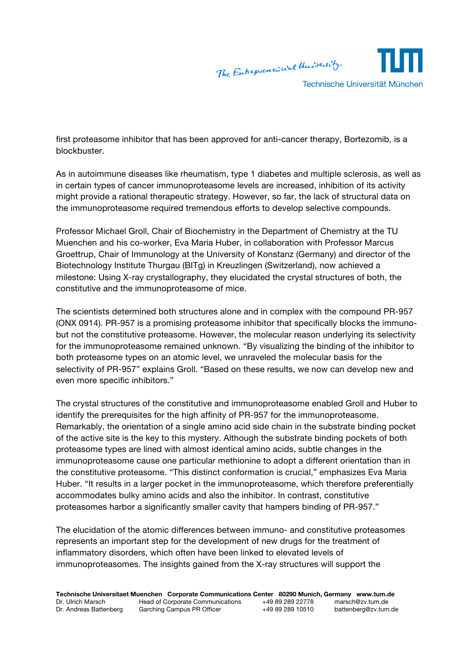

first proteasome inhibitor that has been approved for anti-cancer therapy, Bortezomib, is a blockbuster.

As in autoimmune diseases like rheumatism, type 1 diabetes and multiple sclerosis, as well as in certain types of cancer immunoproteasome levels are increased, inhibition of its activity might provide a rational therapeutic strategy. However, so far, the lack of structural data on the immunoproteasome required tremendous efforts to develop selective compounds.

Professor Michael Groll, Chair of Biochemistry in the Department of Chemistry at the TU Muenchen and his co-worker, Eva Maria Huber, in collaboration with Professor Marcus Groettrup, Chair of Immunology at the University of Konstanz (Germany) and director of the Biotechnology Institute Thurgau (BITg) in Kreuzlingen (Switzerland), now achieved a milestone: Using X-ray crystallography, they elucidated the crystal structures of both, the constitutive and the immunoproteasome of mice.

The scientists determined both structures alone and in complex with the compound PR-957 (ONX 0914). PR-957 is a promising proteasome inhibitor that specifically blocks the immunobut not the constitutive proteasome. However, the molecular reason underlying its selectivity for the immunoproteasome remained unknown. "By visualizing the binding of the inhibitor to both proteasome types on an atomic level, we unraveled the molecular basis for the selectivity of PR-957" explains Groll. "Based on these results, we now can develop new and even more specific inhibitors."

The crystal structures of the constitutive and immunoproteasome enabled Groll and Huber to identify the prerequisites for the high affinity of PR-957 for the immunoproteasome. Remarkably, the orientation of a single amino acid side chain in the substrate binding pocket of the active site is the key to this mystery. Although the substrate binding pockets of both proteasome types are lined with almost identical amino acids, subtle changes in the immunoproteasome cause one particular methionine to adopt a different orientation than in the constitutive proteasome. "This distinct conformation is crucial," emphasizes Eva Maria Huber. "It results in a larger pocket in the immunoproteasome, which therefore preferentially accommodates bulky amino acids and also the inhibitor. In contrast, constitutive proteasomes harbor a significantly smaller cavity that hampers binding of PR-957."

The elucidation of the atomic differences between immuno- and constitutive proteasomes represents an important step for the development of new drugs for the treatment of inflammatory disorders, which often have been linked to elevated levels of immunoproteasomes. The insights gained from the X-ray structures will support the